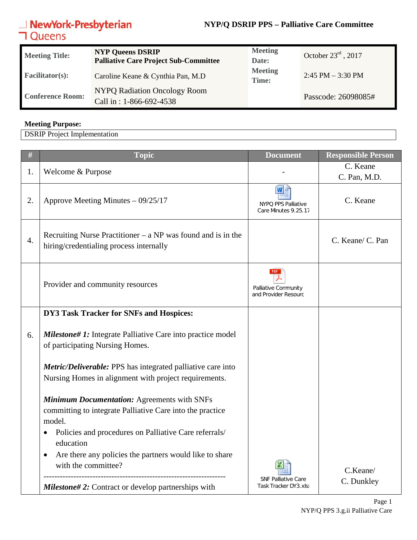#### **NYP/Q DSRIP PPS – Palliative Care Committee**

## **NewYork-Presbyterian**<br>**コ**Queens

| <b>Meeting Title:</b>   | <b>NYP Queens DSRIP</b><br><b>Palliative Care Project Sub-Committee</b> | <b>Meeting</b><br>Date: | October $23^{\text{rd}}$ , 2017 |
|-------------------------|-------------------------------------------------------------------------|-------------------------|---------------------------------|
| <b>Facilitator(s):</b>  | Caroline Keane & Cynthia Pan, M.D.                                      | <b>Meeting</b><br>Time: | $2:45$ PM $-3:30$ PM            |
| <b>Conference Room:</b> | NYPQ Radiation Oncology Room<br>Call in: 1-866-692-4538                 |                         | Passcode: 26098085#             |

#### **Meeting Purpose:**

DSRIP Project Implementation

| #                | <b>Topic</b>                                                                                                                                                                                                                                                                                                | <b>Document</b>                                     | <b>Responsible Person</b> |
|------------------|-------------------------------------------------------------------------------------------------------------------------------------------------------------------------------------------------------------------------------------------------------------------------------------------------------------|-----------------------------------------------------|---------------------------|
| 1.               | Welcome & Purpose                                                                                                                                                                                                                                                                                           |                                                     | C. Keane<br>C. Pan, M.D.  |
| 2.               | Approve Meeting Minutes - 09/25/17                                                                                                                                                                                                                                                                          | w<br>NYPQ PPS Palliative<br>Care Minutes 9.25.17    | C. Keane                  |
| $\overline{4}$ . | Recruiting Nurse Practitioner – $a NP$ was found and is in the<br>hiring/credentialing process internally                                                                                                                                                                                                   |                                                     | C. Keane/ C. Pan          |
|                  | Provider and community resources                                                                                                                                                                                                                                                                            | PDF<br>Palliative Community<br>and Provider Resourc |                           |
|                  | DY3 Task Tracker for SNFs and Hospices:                                                                                                                                                                                                                                                                     |                                                     |                           |
| 6.               | <b>Milestone# 1:</b> Integrate Palliative Care into practice model<br>of participating Nursing Homes.                                                                                                                                                                                                       |                                                     |                           |
|                  | <b>Metric/Deliverable:</b> PPS has integrated palliative care into<br>Nursing Homes in alignment with project requirements.                                                                                                                                                                                 |                                                     |                           |
|                  | <b>Minimum Documentation: Agreements with SNFs</b><br>committing to integrate Palliative Care into the practice<br>model.<br>Policies and procedures on Palliative Care referrals/<br>$\bullet$<br>education<br>Are there any policies the partners would like to share<br>$\bullet$<br>with the committee? |                                                     | C.Keane/                  |
|                  | <b>Milestone#2:</b> Contract or develop partnerships with                                                                                                                                                                                                                                                   | <b>SNF Palliative Care</b><br>Task Tracker DY3.xls) | C. Dunkley                |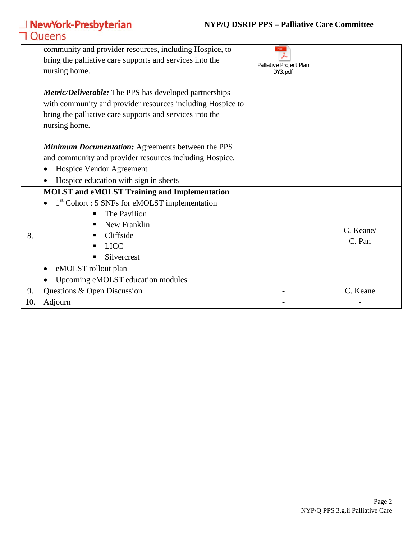#### **NYP/Q DSRIP PPS – Palliative Care Committee**

# **△ NewYork-Presbyterian**<br>**コ** Queens

|     | community and provider resources, including Hospice, to<br>bring the palliative care supports and services into the<br>nursing home.                                                                     | <b>PDF</b><br>Palliative Project Plan<br>DY3.pdf |           |
|-----|----------------------------------------------------------------------------------------------------------------------------------------------------------------------------------------------------------|--------------------------------------------------|-----------|
|     | <i>Metric/Deliverable:</i> The PPS has developed partnerships<br>with community and provider resources including Hospice to<br>bring the palliative care supports and services into the<br>nursing home. |                                                  |           |
|     | <b>Minimum Documentation:</b> Agreements between the PPS                                                                                                                                                 |                                                  |           |
|     | and community and provider resources including Hospice.                                                                                                                                                  |                                                  |           |
|     | Hospice Vendor Agreement                                                                                                                                                                                 |                                                  |           |
|     | Hospice education with sign in sheets                                                                                                                                                                    |                                                  |           |
|     | <b>MOLST</b> and eMOLST Training and Implementation                                                                                                                                                      |                                                  |           |
|     | $1st$ Cohort : 5 SNFs for eMOLST implementation                                                                                                                                                          |                                                  |           |
|     | The Pavilion                                                                                                                                                                                             |                                                  |           |
|     | New Franklin                                                                                                                                                                                             |                                                  | C. Keane/ |
| 8.  | Cliffside                                                                                                                                                                                                |                                                  | C. Pan    |
|     | <b>LICC</b>                                                                                                                                                                                              |                                                  |           |
|     | Silvercrest                                                                                                                                                                                              |                                                  |           |
|     | eMOLST rollout plan                                                                                                                                                                                      |                                                  |           |
|     | Upcoming eMOLST education modules                                                                                                                                                                        |                                                  |           |
| 9.  | Questions & Open Discussion                                                                                                                                                                              |                                                  | C. Keane  |
| 10. | Adjourn                                                                                                                                                                                                  |                                                  |           |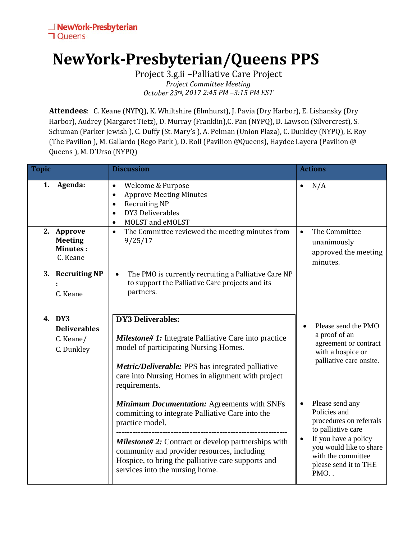### **NewYork-Presbyterian/Queens PPS**

Project 3.g.ii –Palliative Care Project *Project Committee Meeting October 23rd, 2017 2:45 PM –3:15 PM EST*

**Attendees**: C. Keane (NYPQ), K. Whiltshire (Elmhurst), J. Pavia (Dry Harbor), E. Lishansky (Dry Harbor), Audrey (Margaret Tietz), D. Murray (Franklin),C. Pan (NYPQ), D. Lawson (Silvercrest), S. Schuman (Parker Jewish ), C. Duffy (St. Mary's ), A. Pelman (Union Plaza), C. Dunkley (NYPQ), E. Roy (The Pavilion ), M. Gallardo (Rego Park ), D. Roll (Pavilion @Queens), Haydee Layera (Pavilion @ Queens ), M. D'Urso (NYPQ)

| <b>Topic</b> |                                                             | <b>Discussion</b>                                                                                                                                                                                                                                            | <b>Actions</b>                                                                                                             |
|--------------|-------------------------------------------------------------|--------------------------------------------------------------------------------------------------------------------------------------------------------------------------------------------------------------------------------------------------------------|----------------------------------------------------------------------------------------------------------------------------|
| 1.           | Agenda:                                                     | Welcome & Purpose<br>$\bullet$<br><b>Approve Meeting Minutes</b><br>$\bullet$<br><b>Recruiting NP</b><br>$\bullet$<br>DY3 Deliverables<br>$\bullet$<br>MOLST and eMOLST<br>$\bullet$                                                                         | N/A                                                                                                                        |
|              | 2. Approve<br><b>Meeting</b><br><b>Minutes:</b><br>C. Keane | The Committee reviewed the meeting minutes from<br>$\bullet$<br>9/25/17                                                                                                                                                                                      | The Committee<br>$\bullet$<br>unanimously<br>approved the meeting<br>minutes.                                              |
|              | 3. Recruiting NP<br>C. Keane                                | The PMO is currently recruiting a Palliative Care NP<br>$\bullet$<br>to support the Palliative Care projects and its<br>partners.                                                                                                                            |                                                                                                                            |
|              | 4. DY3<br><b>Deliverables</b><br>C. Keane/<br>C. Dunkley    | <b>DY3 Deliverables:</b><br><b>Milestone# 1:</b> Integrate Palliative Care into practice<br>model of participating Nursing Homes.<br>Metric/Deliverable: PPS has integrated palliative<br>care into Nursing Homes in alignment with project<br>requirements. | Please send the PMO<br>$\bullet$<br>a proof of an<br>agreement or contract<br>with a hospice or<br>palliative care onsite. |
|              |                                                             | <b>Minimum Documentation: Agreements with SNFs</b><br>committing to integrate Palliative Care into the<br>practice model.                                                                                                                                    | Please send any<br>Policies and<br>procedures on referrals<br>to palliative care                                           |
|              |                                                             | <b>Milestone#2:</b> Contract or develop partnerships with<br>community and provider resources, including<br>Hospice, to bring the palliative care supports and<br>services into the nursing home.                                                            | If you have a policy<br>you would like to share<br>with the committee<br>please send it to THE<br>PMO                      |